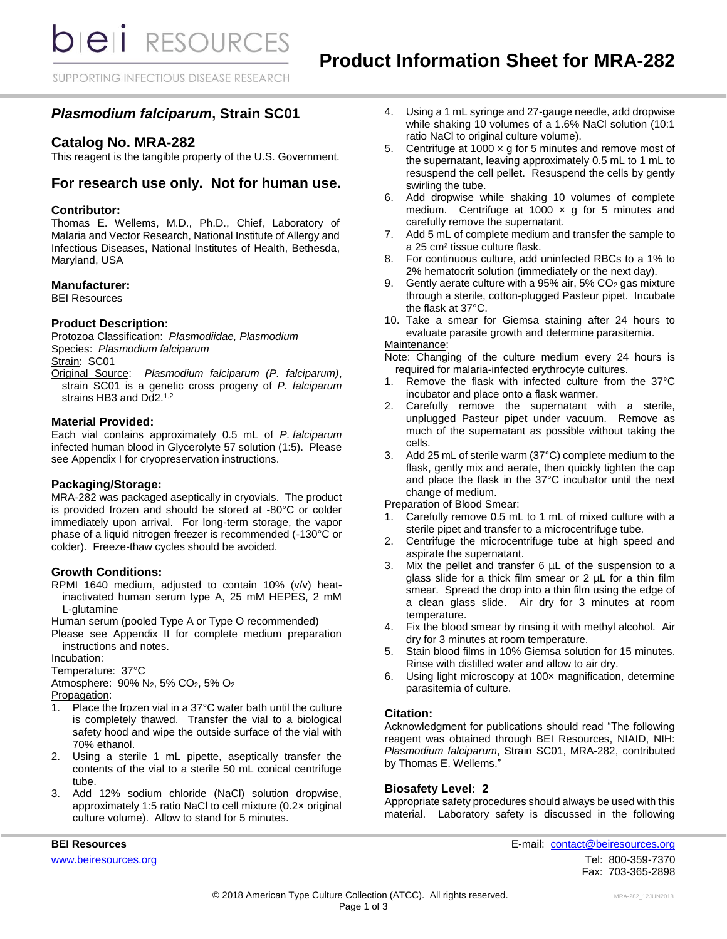**bieli** RESOURCES

SUPPORTING INFECTIOUS DISEASE RESEARCH

# *Plasmodium falciparum***, Strain SC01**

## **Catalog No. MRA-282**

This reagent is the tangible property of the U.S. Government.

# **For research use only. Not for human use.**

### **Contributor:**

Thomas E. Wellems, M.D., Ph.D., Chief, Laboratory of Malaria and Vector Research, National Institute of Allergy and Infectious Diseases, National Institutes of Health, Bethesda, Maryland, USA

### **Manufacturer:**

BEI Resources

### **Product Description:**

Protozoa Classification: *PIasmodiidae, Plasmodium* Species: *Plasmodium falciparum* Strain: SC01 Original Source: *Plasmodium falciparum (P. falciparum)*,

strain SC01 is a genetic cross progeny of *P. falciparum* strains HB3 and Dd2.<sup>1,2</sup>

### **Material Provided:**

Each vial contains approximately 0.5 mL of *P. falciparum* infected human blood in Glycerolyte 57 solution (1:5). Please see Appendix I for cryopreservation instructions.

### **Packaging/Storage:**

MRA-282 was packaged aseptically in cryovials. The product is provided frozen and should be stored at -80°C or colder immediately upon arrival. For long-term storage, the vapor phase of a liquid nitrogen freezer is recommended (-130°C or colder). Freeze-thaw cycles should be avoided.

### **Growth Conditions:**

RPMI 1640 medium, adjusted to contain 10% (v/v) heatinactivated human serum type A, 25 mM HEPES, 2 mM L-glutamine

Human serum (pooled Type A or Type O recommended)

Please see Appendix II for complete medium preparation instructions and notes.

Incubation:

Temperature: 37°C

Atmosphere: 90% N2, 5% CO2, 5% O<sup>2</sup> Propagation:

- 1. Place the frozen vial in a 37°C water bath until the culture is completely thawed. Transfer the vial to a biological safety hood and wipe the outside surface of the vial with 70% ethanol.
- 2. Using a sterile 1 mL pipette, aseptically transfer the contents of the vial to a sterile 50 mL conical centrifuge tube.
- 3. Add 12% sodium chloride (NaCl) solution dropwise, approximately 1:5 ratio NaCl to cell mixture (0.2× original culture volume). Allow to stand for 5 minutes.
- 4. Using a 1 mL syringe and 27-gauge needle, add dropwise while shaking 10 volumes of a 1.6% NaCl solution (10:1 ratio NaCl to original culture volume).
- 5. Centrifuge at 1000  $\times$  g for 5 minutes and remove most of the supernatant, leaving approximately 0.5 mL to 1 mL to resuspend the cell pellet. Resuspend the cells by gently swirling the tube.
- 6. Add dropwise while shaking 10 volumes of complete medium. Centrifuge at 1000  $\times$  g for 5 minutes and carefully remove the supernatant.
- 7. Add 5 mL of complete medium and transfer the sample to a 25 cm² tissue culture flask.
- 8. For continuous culture, add uninfected RBCs to a 1% to 2% hematocrit solution (immediately or the next day).
- 9. Gently aerate culture with a 95% air, 5% CO<sup>2</sup> gas mixture through a sterile, cotton-plugged Pasteur pipet. Incubate the flask at 37°C.
- 10. Take a smear for Giemsa staining after 24 hours to evaluate parasite growth and determine parasitemia.

### Maintenance:

Note: Changing of the culture medium every 24 hours is required for malaria-infected erythrocyte cultures.

- 1. Remove the flask with infected culture from the 37°C incubator and place onto a flask warmer.
- 2. Carefully remove the supernatant with a sterile, unplugged Pasteur pipet under vacuum. Remove as much of the supernatant as possible without taking the cells.
- 3. Add 25 mL of sterile warm (37°C) complete medium to the flask, gently mix and aerate, then quickly tighten the cap and place the flask in the 37°C incubator until the next change of medium.

Preparation of Blood Smear:

- 1. Carefully remove 0.5 mL to 1 mL of mixed culture with a sterile pipet and transfer to a microcentrifuge tube.
- 2. Centrifuge the microcentrifuge tube at high speed and aspirate the supernatant.
- 3. Mix the pellet and transfer 6 µL of the suspension to a glass slide for a thick film smear or 2 µL for a thin film smear. Spread the drop into a thin film using the edge of a clean glass slide. Air dry for 3 minutes at room temperature.
- 4. Fix the blood smear by rinsing it with methyl alcohol. Air dry for 3 minutes at room temperature.
- 5. Stain blood films in 10% Giemsa solution for 15 minutes. Rinse with distilled water and allow to air dry.
- 6. Using light microscopy at 100× magnification, determine parasitemia of culture.

### **Citation:**

Acknowledgment for publications should read "The following reagent was obtained through BEI Resources, NIAID, NIH: *Plasmodium falciparum*, Strain SC01, MRA-282, contributed by Thomas E. Wellems."

### **Biosafety Level: 2**

Appropriate safety procedures should always be used with this material. Laboratory safety is discussed in the following

**BEI Resources** E-mail: [contact@beiresources.org](mailto:contact@beiresources.org) [www.beiresources.org](http://www.beiresources.org/)Tel: 800-359-7370 Fax: 703-365-2898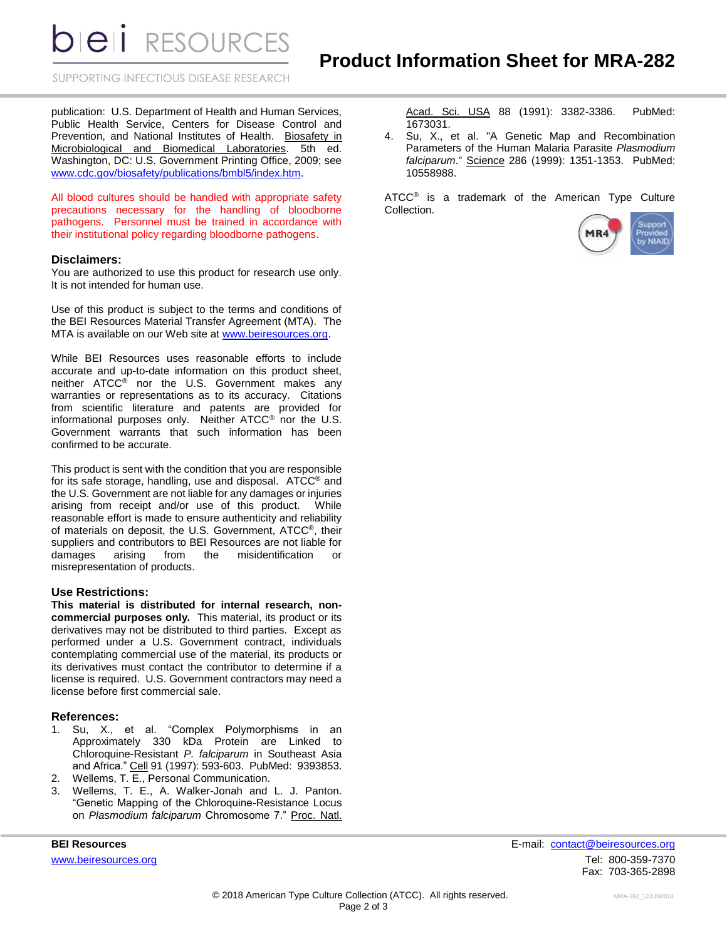**DIEII** RESOURCES

SUPPORTING INFECTIOUS DISEASE RESEARCH

publication: U.S. Department of Health and Human Services, Public Health Service, Centers for Disease Control and Prevention, and National Institutes of Health. Biosafety in Microbiological and Biomedical Laboratories. 5th ed. Washington, DC: U.S. Government Printing Office, 2009; see [www.cdc.gov/biosafety/publications/bmbl5/index.htm.](http://www.cdc.gov/biosafety/publications/bmbl5/index.htm)

All blood cultures should be handled with appropriate safety precautions necessary for the handling of bloodborne pathogens. Personnel must be trained in accordance with their institutional policy regarding bloodborne pathogens.

### **Disclaimers:**

You are authorized to use this product for research use only. It is not intended for human use.

Use of this product is subject to the terms and conditions of the BEI Resources Material Transfer Agreement (MTA). The MTA is available on our Web site at [www.beiresources.org.](http://www.beiresources.org/)

While BEI Resources uses reasonable efforts to include accurate and up-to-date information on this product sheet, neither ATCC® nor the U.S. Government makes any warranties or representations as to its accuracy. Citations from scientific literature and patents are provided for informational purposes only. Neither ATCC® nor the U.S. Government warrants that such information has been confirmed to be accurate.

This product is sent with the condition that you are responsible for its safe storage, handling, use and disposal. ATCC® and the U.S. Government are not liable for any damages or injuries arising from receipt and/or use of this product. While reasonable effort is made to ensure authenticity and reliability of materials on deposit, the U.S. Government, ATCC®, their suppliers and contributors to BEI Resources are not liable for damages arising from the misidentification or misrepresentation of products.

#### **Use Restrictions:**

**This material is distributed for internal research, noncommercial purposes only.** This material, its product or its derivatives may not be distributed to third parties. Except as performed under a U.S. Government contract, individuals contemplating commercial use of the material, its products or its derivatives must contact the contributor to determine if a license is required. U.S. Government contractors may need a license before first commercial sale.

#### **References:**

- 1. Su, X., et al. "Complex Polymorphisms in an Approximately 330 kDa Protein are Linked to Chloroquine-Resistant *P. falciparum* in Southeast Asia and Africa." Cell 91 (1997): 593-603. PubMed: 9393853.
- 2. Wellems, T. E., Personal Communication.
- 3. Wellems, T. E., A. Walker-Jonah and L. J. Panton. "Genetic Mapping of the Chloroquine-Resistance Locus on *Plasmodium falciparum* Chromosome 7." Proc. Natl.

Acad. Sci. USA 88 (1991): 3382-3386. PubMed: 1673031.

4. Su, X., et al. "A Genetic Map and Recombination Parameters of the Human Malaria Parasite *Plasmodium falciparum*." Science 286 (1999): 1351-1353. PubMed: 10558988.

ATCC<sup>®</sup> is a trademark of the American Type Culture Collection.